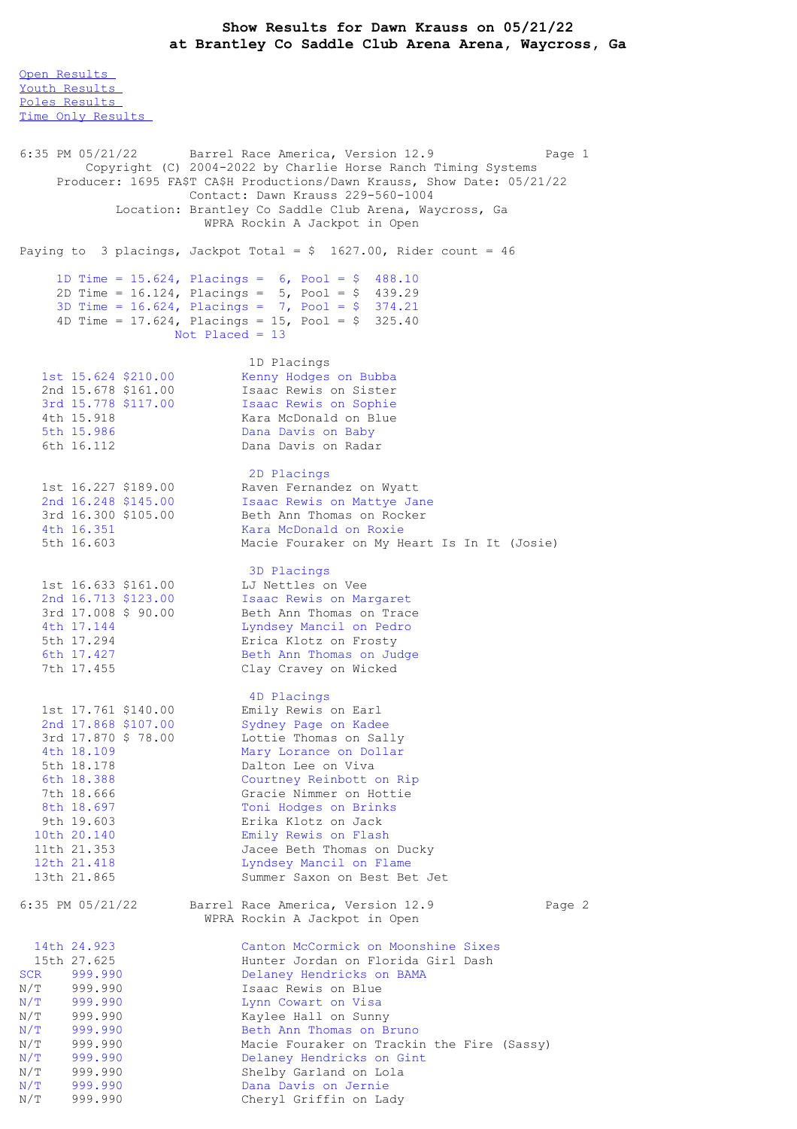## **Show Results for Dawn Krauss on 05/21/22 at Brantley Co Saddle Club Arena Arena, Waycross, Ga**

Open [Results](file:///C:/Users/flori/Downloads/Show_Results_Dawn_Krauss_05_21_22.html#Open) Youth [Results](file:///C:/Users/flori/Downloads/Show_Results_Dawn_Krauss_05_21_22.html#Youth) Poles [Results](file:///C:/Users/flori/Downloads/Show_Results_Dawn_Krauss_05_21_22.html#Poles) Time Only [Results](file:///C:/Users/flori/Downloads/Show_Results_Dawn_Krauss_05_21_22.html#Time%20Only) 6:35 PM 05/21/22 Barrel Race America, Version 12.9 Page 1 Copyright (C) 2004-2022 by Charlie Horse Ranch Timing Systems Producer: 1695 FA\$T CA\$H Productions/Dawn Krauss, Show Date: 05/21/22 Contact: Dawn Krauss 229-560-1004 Location: Brantley Co Saddle Club Arena, Waycross, Ga WPRA Rockin A Jackpot in Open Paying to 3 placings, Jackpot Total =  $$ 1627.00$ , Rider count = 46 1D Time = 15.624, Placings = 6, Pool = \$ 488.10 2D Time = 16.124, Placings = 5, Pool = \$ 439.29 3D Time = 16.624, Placings = 7, Pool = \$ 374.21 4D Time =  $17.624$ , Placings =  $15$ , Pool = \$ 325.40 Not Placed = 13 1D Placings 1st 15.624 \$210.00 Kenny Hodges on Bubba 2nd 15.678 \$161.00 Isaac Rewis on Sister 3rd 15.778 \$117.00 Isaac Rewis on Sophie 4th 15.918 Kara McDonald on Blue 5th 15.986 Dana Davis on Baby Dana Davis on Radar 2D Placings 1st 16.227 \$189.00 Raven Fernandez on Wyatt 2nd 16.248 \$145.00 Isaac Rewis on Mattye Jane 3rd 16.300 \$105.00 Beth Ann Thomas on Rocker 4th 16.351 Kara McDonald on Roxie 5th 16.603 Macie Fouraker on My Heart Is In It (Josie) 3D Placings 1st 16.633 \$161.00 LJ Nettles on Vee 2nd 16.713 \$123.00 Isaac Rewis on Margaret 3rd 17.008 \$ 90.00 Beth Ann Thomas on Trace 4th 17.144 Lyndsey Mancil on Pedro 5th 17.294 Erica Klotz on Frosty 6th 17.427 Beth Ann Thomas on Judge 7th 17.455 Clay Cravey on Wicked 4D Placings 1st 17.761 \$140.00 Emily Rewis on Earl 2nd 17.868 \$107.00 Sydney Page on Kadee 3rd 17.870 \$ 78.00 Lottie Thomas on Sally 4th 18.109 Mary Lorance on Dollar 5th 18.178 Dalton Lee on Viva 6th 18.388 Courtney Reinbott on Rip 7th 18.666 Gracie Nimmer on Hottie 8th 18.697 Toni Hodges on Brinks 9th 19.603 Erika Klotz on Jack 10th 20.140 Emily Rewis on Flash 11th 21.353 Jacee Beth Thomas on Ducky 12th 21.418 Lyndsey Mancil on Flame 13th 21.865 Summer Saxon on Best Bet Jet 6:35 PM 05/21/22 Barrel Race America, Version 12.9 Page 2 WPRA Rockin A Jackpot in Open 14th 24.923 Canton McCormick on Moonshine Sixes 15th 27.625 Hunter Jordan on Florida Girl Dash SCR 999.990 Delaney Hendricks on BAMA N/T 999.990 Isaac Rewis on Blue N/T 999.990 Lynn Cowart on Visa N/T 999.990 Kaylee Hall on Sunny N/T 999.990 Beth Ann Thomas on Bruno N/T 999.990 Macie Fouraker on Trackin the Fire (Sassy) N/T 999.990 Delaney Hendricks on Gint N/T 999.990 Shelby Garland on Lola N/T 999.990 Dana Davis on Jernie N/T 999.990 Cheryl Griffin on Lady